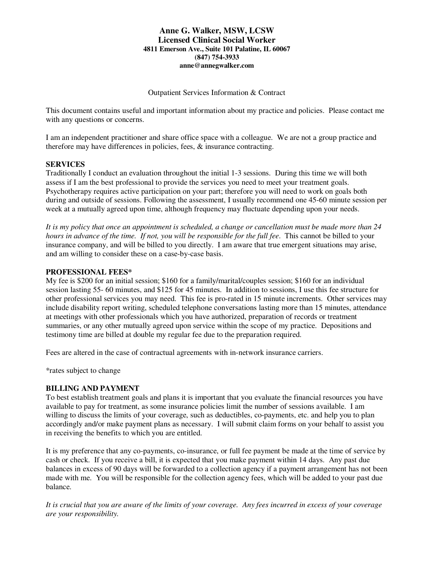#### **Anne G. Walker, MSW, LCSW Licensed Clinical Social Worker 4811 Emerson Ave., Suite 101 Palatine, IL 60067 (847) 754-3933 anne@annegwalker.com**

Outpatient Services Information & Contract

This document contains useful and important information about my practice and policies. Please contact me with any questions or concerns.

I am an independent practitioner and share office space with a colleague. We are not a group practice and therefore may have differences in policies, fees, & insurance contracting.

# **SERVICES**

Traditionally I conduct an evaluation throughout the initial 1-3 sessions. During this time we will both assess if I am the best professional to provide the services you need to meet your treatment goals. Psychotherapy requires active participation on your part; therefore you will need to work on goals both during and outside of sessions. Following the assessment, I usually recommend one 45-60 minute session per week at a mutually agreed upon time, although frequency may fluctuate depending upon your needs.

*It is my policy that once an appointment is scheduled, a change or cancellation must be made more than 24 hours in advance of the time. If not, you will be responsible for the full fee*. This cannot be billed to your insurance company, and will be billed to you directly. I am aware that true emergent situations may arise, and am willing to consider these on a case-by-case basis.

#### **PROFESSIONAL FEES\***

My fee is \$200 for an initial session; \$160 for a family/marital/couples session; \$160 for an individual session lasting 55- 60 minutes, and \$125 for 45 minutes. In addition to sessions, I use this fee structure for other professional services you may need. This fee is pro-rated in 15 minute increments. Other services may include disability report writing, scheduled telephone conversations lasting more than 15 minutes, attendance at meetings with other professionals which you have authorized, preparation of records or treatment summaries, or any other mutually agreed upon service within the scope of my practice. Depositions and testimony time are billed at double my regular fee due to the preparation required.

Fees are altered in the case of contractual agreements with in-network insurance carriers.

\*rates subject to change

# **BILLING AND PAYMENT**

To best establish treatment goals and plans it is important that you evaluate the financial resources you have available to pay for treatment, as some insurance policies limit the number of sessions available. I am willing to discuss the limits of your coverage, such as deductibles, co-payments, etc. and help you to plan accordingly and/or make payment plans as necessary. I will submit claim forms on your behalf to assist you in receiving the benefits to which you are entitled.

It is my preference that any co-payments, co-insurance, or full fee payment be made at the time of service by cash or check. If you receive a bill, it is expected that you make payment within 14 days. Any past due balances in excess of 90 days will be forwarded to a collection agency if a payment arrangement has not been made with me. You will be responsible for the collection agency fees, which will be added to your past due balance.

*It is crucial that you are aware of the limits of your coverage. Any fees incurred in excess of your coverage are your responsibility.*